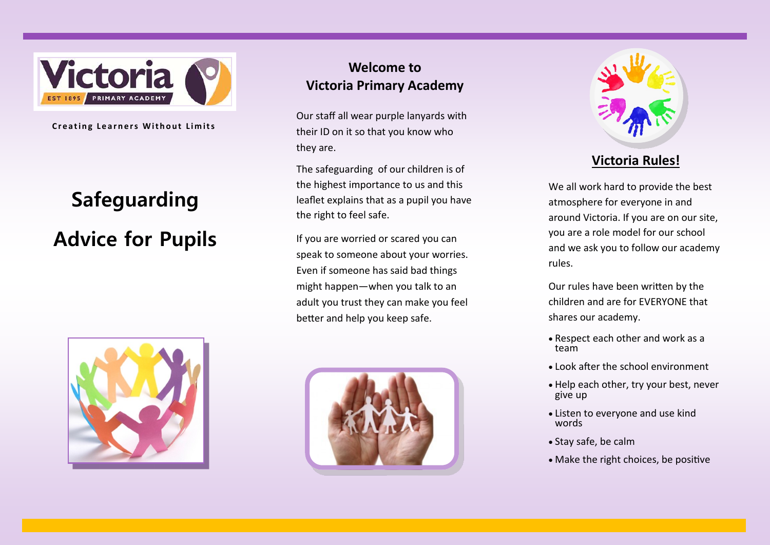

**Creating Learners Without Limits** 

# **Safeguarding Advice for Pupils**



## **Welcome to Victoria Primary Academy**

Our staff all wear purple lanyards with their ID on it so that you know who they are.

The safeguarding of our children is of the highest importance to us and this leaflet explains that as a pupil you have the right to feel safe.

If you are worried or scared you can speak to someone about your worries. Even if someone has said bad things might happen—when you talk to an adult you trust they can make you feel better and help you keep safe.





## **Victoria Rules!**

We all work hard to provide the best atmosphere for everyone in and around Victoria. If you are on our site, you are a role model for our school and we ask you to follow our academy rules.

Our rules have been written by the children and are for EVERYONE that shares our academy.

- Respect each other and work as a team
- Look after the school environment
- Help each other, try your best, never give up
- Listen to everyone and use kind words
- Stay safe, be calm
- Make the right choices, be positive